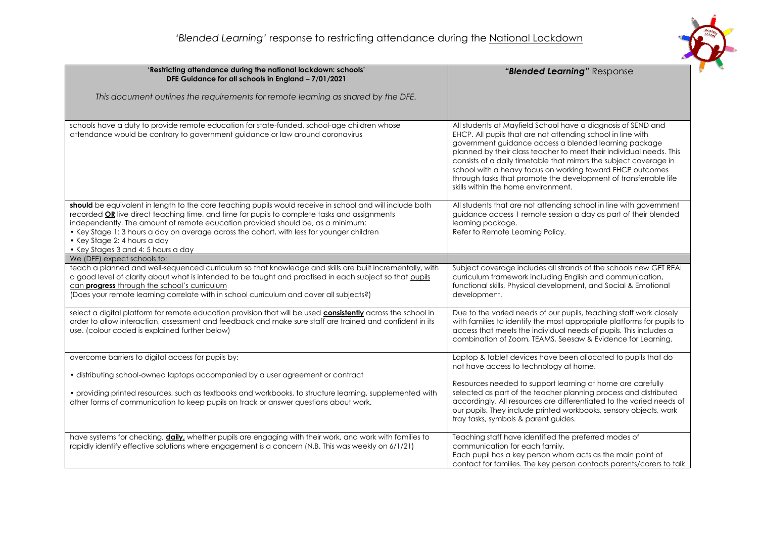

| 'Restricting attendance during the national lockdown: schools'                                                                                                                                                                                                                                                                                                                                                                                                  | "Blended Learning" Response                                                                                                                                                                                                                                                                                                                                                                                                                                                                               |
|-----------------------------------------------------------------------------------------------------------------------------------------------------------------------------------------------------------------------------------------------------------------------------------------------------------------------------------------------------------------------------------------------------------------------------------------------------------------|-----------------------------------------------------------------------------------------------------------------------------------------------------------------------------------------------------------------------------------------------------------------------------------------------------------------------------------------------------------------------------------------------------------------------------------------------------------------------------------------------------------|
| DFE Guidance for all schools in England - 7/01/2021                                                                                                                                                                                                                                                                                                                                                                                                             |                                                                                                                                                                                                                                                                                                                                                                                                                                                                                                           |
| This document outlines the requirements for remote learning as shared by the DFE.                                                                                                                                                                                                                                                                                                                                                                               |                                                                                                                                                                                                                                                                                                                                                                                                                                                                                                           |
|                                                                                                                                                                                                                                                                                                                                                                                                                                                                 |                                                                                                                                                                                                                                                                                                                                                                                                                                                                                                           |
| schools have a duty to provide remote education for state-funded, school-age children whose<br>attendance would be contrary to government guidance or law around coronavirus                                                                                                                                                                                                                                                                                    | All students at Mayfield School have a diagnosis of SEND and<br>EHCP. All pupils that are not attending school in line with<br>government guidance access a blended learning package<br>planned by their class teacher to meet their individual needs. This<br>consists of a daily timetable that mirrors the subject coverage in<br>school with a heavy focus on working toward EHCP outcomes<br>through tasks that promote the development of transferrable life<br>skills within the home environment. |
| should be equivalent in length to the core teaching pupils would receive in school and will include both<br>recorded OR live direct teaching time, and time for pupils to complete tasks and assignments<br>independently. The amount of remote education provided should be, as a minimum:<br>• Key Stage 1: 3 hours a day on average across the cohort, with less for younger children<br>• Key Stage 2: 4 hours a day<br>• Key Stages 3 and 4: 5 hours a day | All students that are not attending school in line with government<br>guidance access 1 remote session a day as part of their blended<br>learning package.<br>Refer to Remote Learning Policy.                                                                                                                                                                                                                                                                                                            |
| We (DFE) expect schools to:                                                                                                                                                                                                                                                                                                                                                                                                                                     |                                                                                                                                                                                                                                                                                                                                                                                                                                                                                                           |
| teach a planned and well-sequenced curriculum so that knowledge and skills are built incrementally, with<br>a good level of clarity about what is intended to be taught and practised in each subject so that pupils<br>can progress through the school's curriculum<br>(Does your remote learning correlate with in school curriculum and cover all subjects?)                                                                                                 | Subject coverage includes all strands of the schools new GET REAL<br>curriculum framework including English and communication,<br>functional skills, Physical development, and Social & Emotional<br>development.                                                                                                                                                                                                                                                                                         |
| select a digital platform for remote education provision that will be used <b>consistently</b> across the school in<br>order to allow interaction, assessment and feedback and make sure staff are trained and confident in its<br>use. (colour coded is explained further below)                                                                                                                                                                               | Due to the varied needs of our pupils, teaching staff work closely<br>with families to identify the most appropriate platforms for pupils to<br>access that meets the individual needs of pupils. This includes a<br>combination of Zoom, TEAMS, Seesaw & Evidence for Learning.                                                                                                                                                                                                                          |
| overcome barriers to digital access for pupils by:                                                                                                                                                                                                                                                                                                                                                                                                              | Laptop & tablet devices have been allocated to pupils that do<br>not have access to technology at home.                                                                                                                                                                                                                                                                                                                                                                                                   |
| • distributing school-owned laptops accompanied by a user agreement or contract                                                                                                                                                                                                                                                                                                                                                                                 | Resources needed to support learning at home are carefully                                                                                                                                                                                                                                                                                                                                                                                                                                                |
| • providing printed resources, such as textbooks and workbooks, to structure learning, supplemented with<br>other forms of communication to keep pupils on track or answer questions about work.                                                                                                                                                                                                                                                                | selected as part of the teacher planning process and distributed<br>accordingly. All resources are differentiated to the varied needs of<br>our pupils. They include printed workbooks, sensory objects, work<br>tray tasks, symbols & parent guides.                                                                                                                                                                                                                                                     |
| have systems for checking, <i>daily</i> , whether pupils are engaging with their work, and work with families to<br>rapidly identify effective solutions where engagement is a concern (N.B. This was weekly on 6/1/21)                                                                                                                                                                                                                                         | Teaching staff have identified the preferred modes of<br>communication for each family.<br>Each pupil has a key person whom acts as the main point of<br>contact for families. The key person contacts parents/carers to talk                                                                                                                                                                                                                                                                             |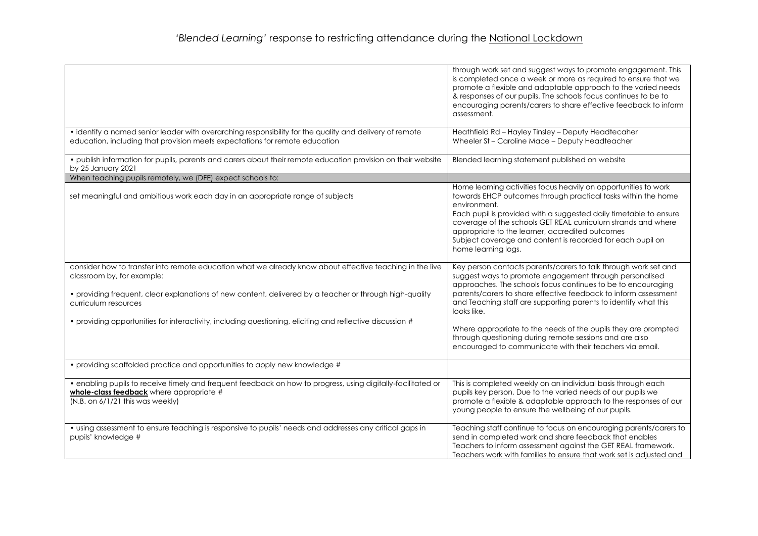|                                                                                                                                                                                                                                                                                                                                                                                        | through work set and suggest ways to promote engagement. This<br>is completed once a week or more as required to ensure that we<br>promote a flexible and adaptable approach to the varied needs<br>& responses of our pupils. The schools focus continues to be to<br>encouraging parents/carers to share effective feedback to inform<br>assessment.                                                                                                                                                                                   |
|----------------------------------------------------------------------------------------------------------------------------------------------------------------------------------------------------------------------------------------------------------------------------------------------------------------------------------------------------------------------------------------|------------------------------------------------------------------------------------------------------------------------------------------------------------------------------------------------------------------------------------------------------------------------------------------------------------------------------------------------------------------------------------------------------------------------------------------------------------------------------------------------------------------------------------------|
| • identify a named senior leader with overarching responsibility for the quality and delivery of remote<br>education, including that provision meets expectations for remote education                                                                                                                                                                                                 | Heathfield Rd - Hayley Tinsley - Deputy Headtecaher<br>Wheeler St - Caroline Mace - Deputy Headteacher                                                                                                                                                                                                                                                                                                                                                                                                                                   |
| · publish information for pupils, parents and carers about their remote education provision on their website<br>by 25 January 2021                                                                                                                                                                                                                                                     | Blended learning statement published on website                                                                                                                                                                                                                                                                                                                                                                                                                                                                                          |
| When teaching pupils remotely, we (DFE) expect schools to:                                                                                                                                                                                                                                                                                                                             |                                                                                                                                                                                                                                                                                                                                                                                                                                                                                                                                          |
| set meaningful and ambitious work each day in an appropriate range of subjects                                                                                                                                                                                                                                                                                                         | Home learning activities focus heavily on opportunities to work<br>towards EHCP outcomes through practical tasks within the home<br>environment.<br>Each pupil is provided with a suggested daily timetable to ensure<br>coverage of the schools GET REAL curriculum strands and where<br>appropriate to the learner, accredited outcomes<br>Subject coverage and content is recorded for each pupil on<br>home learning logs.                                                                                                           |
| consider how to transfer into remote education what we already know about effective teaching in the live<br>classroom by, for example:<br>· providing frequent, clear explanations of new content, delivered by a teacher or through high-quality<br>curriculum resources<br>• providing opportunities for interactivity, including questioning, eliciting and reflective discussion # | Key person contacts parents/carers to talk through work set and<br>suggest ways to promote engagement through personalised<br>approaches. The schools focus continues to be to encouraging<br>parents/carers to share effective feedback to inform assessment<br>and Teaching staff are supporting parents to identify what this<br>looks like.<br>Where appropriate to the needs of the pupils they are prompted<br>through questioning during remote sessions and are also<br>encouraged to communicate with their teachers via email. |
| • providing scaffolded practice and opportunities to apply new knowledge #                                                                                                                                                                                                                                                                                                             |                                                                                                                                                                                                                                                                                                                                                                                                                                                                                                                                          |
| • enabling pupils to receive timely and frequent feedback on how to progress, using digitally-facilitated or<br>whole-class feedback where appropriate #<br>(N.B. on 6/1/21 this was weekly)                                                                                                                                                                                           | This is completed weekly on an individual basis through each<br>pupils key person. Due to the varied needs of our pupils we<br>promote a flexible & adaptable approach to the responses of our<br>young people to ensure the wellbeing of our pupils.                                                                                                                                                                                                                                                                                    |
| • using assessment to ensure teaching is responsive to pupils' needs and addresses any critical gaps in<br>pupils' knowledge #                                                                                                                                                                                                                                                         | Teaching staff continue to focus on encouraging parents/carers to<br>send in completed work and share feedback that enables<br>Teachers to inform assessment against the GET REAL framework.<br>Teachers work with families to ensure that work set is adjusted and                                                                                                                                                                                                                                                                      |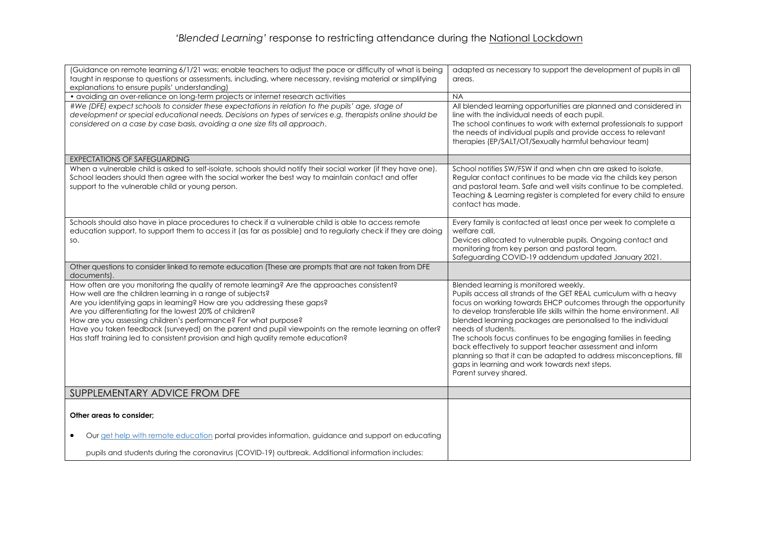## *'Blended Learning'* response to restricting attendance during the National Lockdown

| (Guidance on remote learning 6/1/21 was; enable teachers to adjust the pace or difficulty of what is being<br>taught in response to questions or assessments, including, where necessary, revising material or simplifying<br>explanations to ensure pupils' understanding)                                                                                                                                                                                                                                                                                        | adapted as necessary to support the development of pupils in all<br>areas.                                                                                                                                                                                                                                                                                                                                                                                                                                                                                                                                                |
|--------------------------------------------------------------------------------------------------------------------------------------------------------------------------------------------------------------------------------------------------------------------------------------------------------------------------------------------------------------------------------------------------------------------------------------------------------------------------------------------------------------------------------------------------------------------|---------------------------------------------------------------------------------------------------------------------------------------------------------------------------------------------------------------------------------------------------------------------------------------------------------------------------------------------------------------------------------------------------------------------------------------------------------------------------------------------------------------------------------------------------------------------------------------------------------------------------|
| · avoiding an over-reliance on long-term projects or internet research activities                                                                                                                                                                                                                                                                                                                                                                                                                                                                                  | <b>NA</b>                                                                                                                                                                                                                                                                                                                                                                                                                                                                                                                                                                                                                 |
| #We (DFE) expect schools to consider these expectations in relation to the pupils' age, stage of<br>development or special educational needs. Decisions on types of services e.g. therapists online should be<br>considered on a case by case basis, avoiding a one size fits all approach.                                                                                                                                                                                                                                                                        | All blended learning opportunities are planned and considered in<br>line with the individual needs of each pupil.<br>The school continues to work with external professionals to support<br>the needs of individual pupils and provide access to relevant<br>therapies (EP/SALT/OT/Sexually harmful behaviour team)                                                                                                                                                                                                                                                                                                       |
| <b>EXPECTATIONS OF SAFEGUARDING</b>                                                                                                                                                                                                                                                                                                                                                                                                                                                                                                                                |                                                                                                                                                                                                                                                                                                                                                                                                                                                                                                                                                                                                                           |
| When a vulnerable child is asked to self-isolate, schools should notify their social worker (if they have one).<br>School leaders should then agree with the social worker the best way to maintain contact and offer<br>support to the vulnerable child or young person.                                                                                                                                                                                                                                                                                          | School notifies SW/FSW if and when chn are asked to isolate.<br>Regular contact continues to be made via the childs key person<br>and pastoral team. Safe and well visits continue to be completed.<br>Teaching & Learning register is completed for every child to ensure<br>contact has made.                                                                                                                                                                                                                                                                                                                           |
| Schools should also have in place procedures to check if a vulnerable child is able to access remote<br>education support, to support them to access it (as far as possible) and to regularly check if they are doing<br>SO.                                                                                                                                                                                                                                                                                                                                       | Every family is contacted at least once per week to complete a<br>welfare call.<br>Devices allocated to vulnerable pupils. Ongoing contact and<br>monitoring from key person and pastoral team.<br>Safeguarding COVID-19 addendum updated January 2021.                                                                                                                                                                                                                                                                                                                                                                   |
| Other questions to consider linked to remote education (These are prompts that are not taken from DFE<br>documents).                                                                                                                                                                                                                                                                                                                                                                                                                                               |                                                                                                                                                                                                                                                                                                                                                                                                                                                                                                                                                                                                                           |
| How often are you monitoring the quality of remote learning? Are the approaches consistent?<br>How well are the children learning in a range of subjects?<br>Are you identifying gaps in learning? How are you addressing these gaps?<br>Are you differentiating for the lowest 20% of children?<br>How are you assessing children's performance? For what purpose?<br>Have you taken feedback (surveyed) on the parent and pupil viewpoints on the remote learning on offer?<br>Has staff training led to consistent provision and high quality remote education? | Blended learning is monitored weekly.<br>Pupils access all strands of the GET REAL curriculum with a heavy<br>focus on working towards EHCP outcomes through the opportunity<br>to develop transferable life skills within the home environment. All<br>blended learning packages are personalised to the individual<br>needs of students.<br>The schools focus continues to be engaging families in feeding<br>back effectively to support teacher assessment and inform<br>planning so that it can be adapted to address misconceptions, fill<br>gaps in learning and work towards next steps.<br>Parent survey shared. |
| SUPPLEMENTARY ADVICE FROM DFE                                                                                                                                                                                                                                                                                                                                                                                                                                                                                                                                      |                                                                                                                                                                                                                                                                                                                                                                                                                                                                                                                                                                                                                           |
| Other areas to consider;                                                                                                                                                                                                                                                                                                                                                                                                                                                                                                                                           |                                                                                                                                                                                                                                                                                                                                                                                                                                                                                                                                                                                                                           |
| Our get help with remote education portal provides information, guidance and support on educating                                                                                                                                                                                                                                                                                                                                                                                                                                                                  |                                                                                                                                                                                                                                                                                                                                                                                                                                                                                                                                                                                                                           |
| pupils and students during the coronavirus (COVID-19) outbreak. Additional information includes:                                                                                                                                                                                                                                                                                                                                                                                                                                                                   |                                                                                                                                                                                                                                                                                                                                                                                                                                                                                                                                                                                                                           |